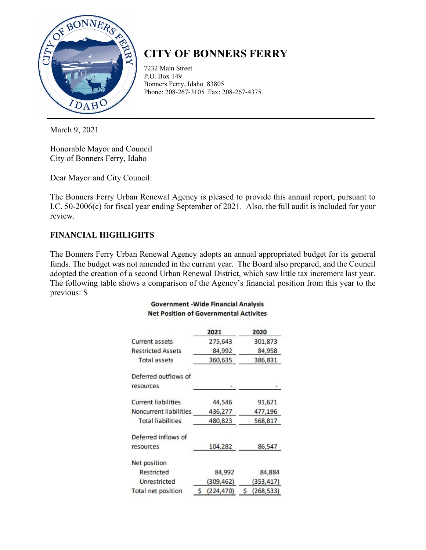

# **CITY OF BONNERS FERRY**

7232 Main Street P.O. Box 149 Bonners Ferry, Idaho 83805 Phone: 208-267-3105 Fax: 208-267-4375

March 9, 2021

Honorable Mayor and Council City of Bonners Ferry, Idaho

Dear Mayor and City Council:

The Bonners Ferry Urban Renewal Agency is pleased to provide this annual report, pursuant to I.C. 50-2006(c) for fiscal year ending September of 2021. Also, the full audit is included for your review.

# **FINANCIAL HIGHLIGHTS**

The Bonners Ferry Urban Renewal Agency adopts an annual appropriated budget for its general funds. The budget was not amended in the current year. The Board also prepared, and the Council adopted the creation of a second Urban Renewal District, which saw little tax increment last year. The following table shows a comparison of the Agency's financial position from this year to the previous: S

#### **Government - Wide Financial Analysis Net Position of Governmental Activites**

|                            | 2021             | 2020            |  |  |
|----------------------------|------------------|-----------------|--|--|
| <b>Current assets</b>      | 275,643          | 301,873         |  |  |
| <b>Restricted Assets</b>   | 84,992           | 84,958          |  |  |
| <b>Total assets</b>        | 360,635          | 386,831         |  |  |
| Deferred outflows of       |                  |                 |  |  |
| resources                  |                  |                 |  |  |
| <b>Current liabilities</b> | 44,546           | 91,621          |  |  |
| Noncurrent liabilities     | 436,277          | 477,196         |  |  |
| <b>Total liabilities</b>   | 480,823          | 568,817         |  |  |
| Deferred inflows of        |                  |                 |  |  |
| resources                  | 104,282          | 86,547          |  |  |
| Net position               |                  |                 |  |  |
| <b>Restricted</b>          | 84,992           | 84,884          |  |  |
| Unrestricted               | (309, 462)       | (353, 417)      |  |  |
| Total net position         | (224, 470)<br>Ś. | (268, 533)<br>S |  |  |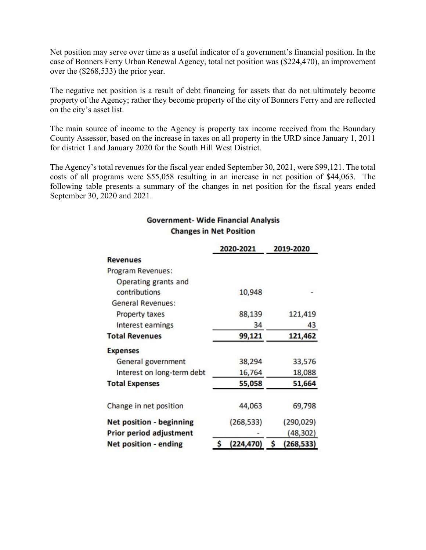Net position may serve over time as a useful indicator of a government's financial position. In the case of Bonners Ferry Urban Renewal Agency, total net position was (\$224,470), an improvement over the (\$268,533) the prior year.

The negative net position is a result of debt financing for assets that do not ultimately become property of the Agency; rather they become property of the city of Bonners Ferry and are reflected on the city's asset list.

The main source of income to the Agency is property tax income received from the Boundary County Assessor, based on the increase in taxes on all property in the URD since January 1, 2011 for district 1 and January 2020 for the South Hill West District.

The Agency's total revenues for the fiscal year ended September 30, 2021, were \$99,121. The total costs of all programs were \$55,058 resulting in an increase in net position of \$44,063. The following table presents a summary of the changes in net position for the fiscal years ended September 30, 2020 and 2021.

#### **Government- Wide Financial Analysis Changes in Net Position**

|                                                     |        | 2020-2021  |               | 2019-2020  |  |
|-----------------------------------------------------|--------|------------|---------------|------------|--|
| <b>Revenues</b>                                     |        |            |               |            |  |
| Program Revenues:                                   |        |            |               |            |  |
| Operating grants and                                |        |            |               |            |  |
| contributions                                       |        | 10,948     |               |            |  |
| <b>General Revenues:</b>                            |        |            |               |            |  |
| <b>Property taxes</b>                               | 88,139 |            | 121,419       |            |  |
| Interest earnings                                   |        | 34         | 43<br>121,462 |            |  |
| <b>Total Revenues</b>                               | 99,121 |            |               |            |  |
| <b>Expenses</b>                                     |        |            |               |            |  |
| General government                                  |        | 38,294     |               | 33,576     |  |
| Interest on long-term debt<br><b>Total Expenses</b> |        | 16,764     |               | 18,088     |  |
|                                                     |        | 55,058     | 51,664        |            |  |
| Change in net position                              |        | 44,063     |               | 69,798     |  |
| <b>Net position - beginning</b>                     |        | (268, 533) |               | (290, 029) |  |
| <b>Prior period adjustment</b>                      |        |            |               | (48, 302)  |  |
| <b>Net position - ending</b>                        | \$     | (224, 470) | \$            | (268, 533) |  |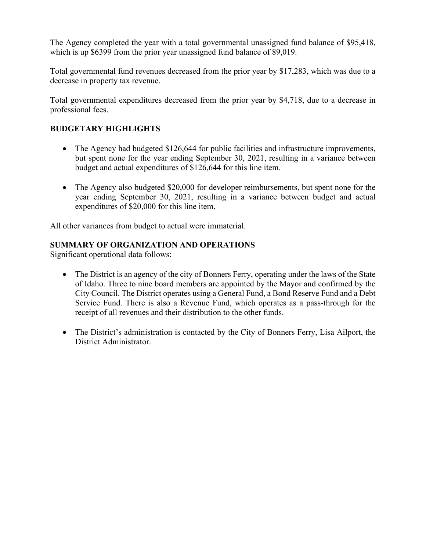The Agency completed the year with a total governmental unassigned fund balance of \$95,418, which is up \$6399 from the prior year unassigned fund balance of 89,019.

Total governmental fund revenues decreased from the prior year by \$17,283, which was due to a decrease in property tax revenue.

Total governmental expenditures decreased from the prior year by \$4,718, due to a decrease in professional fees.

### **BUDGETARY HIGHLIGHTS**

- The Agency had budgeted \$126,644 for public facilities and infrastructure improvements, but spent none for the year ending September 30, 2021, resulting in a variance between budget and actual expenditures of \$126,644 for this line item.
- The Agency also budgeted \$20,000 for developer reimbursements, but spent none for the year ending September 30, 2021, resulting in a variance between budget and actual expenditures of \$20,000 for this line item.

All other variances from budget to actual were immaterial.

#### **SUMMARY OF ORGANIZATION AND OPERATIONS**

Significant operational data follows:

- The District is an agency of the city of Bonners Ferry, operating under the laws of the State of Idaho. Three to nine board members are appointed by the Mayor and confirmed by the City Council. The District operates using a General Fund, a Bond Reserve Fund and a Debt Service Fund. There is also a Revenue Fund, which operates as a pass-through for the receipt of all revenues and their distribution to the other funds.
- The District's administration is contacted by the City of Bonners Ferry, Lisa Ailport, the District Administrator.